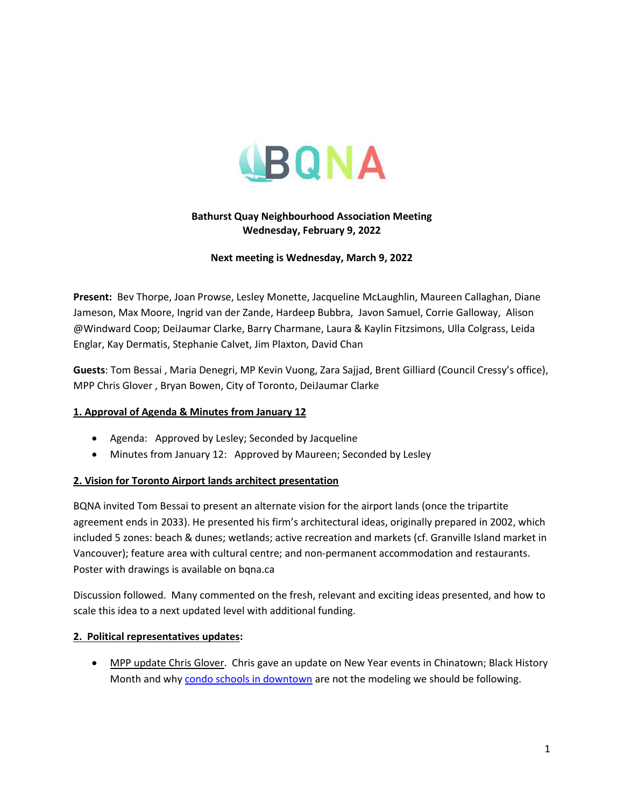

# **Bathurst Quay Neighbourhood Association Meeting Wednesday, February 9, 2022**

#### **Next meeting is Wednesday, March 9, 2022**

**Present:** Bev Thorpe, Joan Prowse, Lesley Monette, Jacqueline McLaughlin, Maureen Callaghan, Diane Jameson, Max Moore, Ingrid van der Zande, Hardeep Bubbra, Javon Samuel, Corrie Galloway, Alison @Windward Coop; DeiJaumar Clarke, Barry Charmane, Laura & Kaylin Fitzsimons, Ulla Colgrass, Leida Englar, Kay Dermatis, Stephanie Calvet, Jim Plaxton, David Chan

**Guests**: Tom Bessai , Maria Denegri, MP Kevin Vuong, Zara Sajjad, Brent Gilliard (Council Cressy's office), MPP Chris Glover , Bryan Bowen, City of Toronto, DeiJaumar Clarke

## **1. Approval of Agenda & Minutes from January 12**

- Agenda: Approved by Lesley; Seconded by Jacqueline
- Minutes from January 12: Approved by Maureen; Seconded by Lesley

#### **2. Vision for Toronto Airport lands architect presentation**

BQNA invited Tom Bessai to present an alternate vision for the airport lands (once the tripartite agreement ends in 2033). He presented his firm's architectural ideas, originally prepared in 2002, which included 5 zones: beach & dunes; wetlands; active recreation and markets (cf. Granville Island market in Vancouver); feature area with cultural centre; and non-permanent accommodation and restaurants. Poster with drawings is available on bqna.ca

Discussion followed. Many commented on the fresh, relevant and exciting ideas presented, and how to scale this idea to a next updated level with additional funding.

#### **2. Political representatives updates:**

**• MPP update Chris Glover.** Chris gave an update on New Year events in Chinatown; Black History Month and wh[y condo schools in downtown](https://nowtoronto.com/author/chris-glover) are not the modeling we should be following.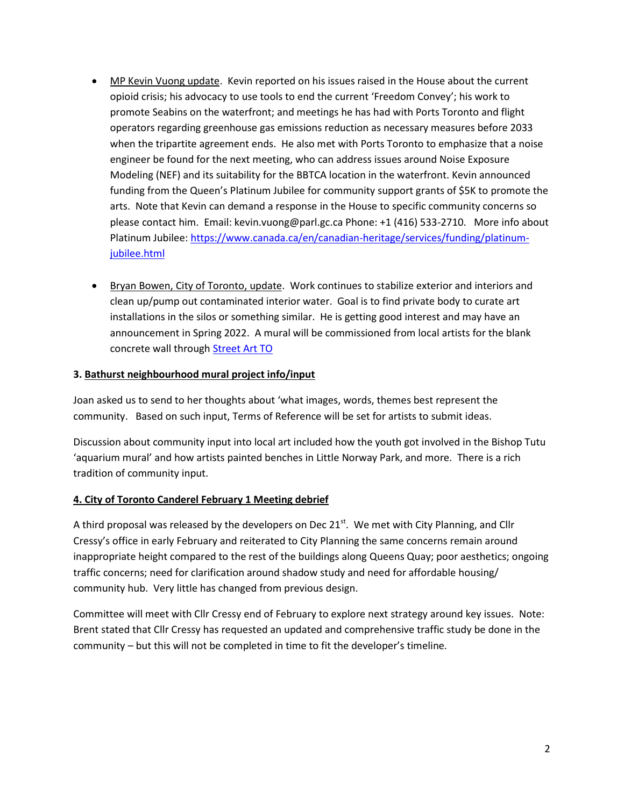- MP Kevin Vuong update. Kevin reported on his issues raised in the House about the current opioid crisis; his advocacy to use tools to end the current 'Freedom Convey'; his work to promote Seabins on the waterfront; and meetings he has had with Ports Toronto and flight operators regarding greenhouse gas emissions reduction as necessary measures before 2033 when the tripartite agreement ends. He also met with Ports Toronto to emphasize that a noise engineer be found for the next meeting, who can address issues around Noise Exposure Modeling (NEF) and its suitability for the BBTCA location in the waterfront. Kevin announced funding from the Queen's Platinum Jubilee for community support grants of \$5K to promote the arts. Note that Kevin can demand a response in the House to specific community concerns so please contact him. Email: kevin.vuong@parl.gc.ca Phone: +1 (416) 533-2710. More info about Platinum Jubilee: [https://www.canada.ca/en/canadian-heritage/services/funding/platinum](https://www.canada.ca/en/canadian-heritage/services/funding/platinum-jubilee.html)[jubilee.html](https://www.canada.ca/en/canadian-heritage/services/funding/platinum-jubilee.html)
- **Bryan Bowen, City of Toronto, update. Work continues to stabilize exterior and interiors and** clean up/pump out contaminated interior water. Goal is to find private body to curate art installations in the silos or something similar. He is getting good interest and may have an announcement in Spring 2022. A mural will be commissioned from local artists for the blank concrete wall through [Street Art TO](https://streetart.to/)

#### **3. Bathurst neighbourhood mural project info/input**

Joan asked us to send to her thoughts about 'what images, words, themes best represent the community. Based on such input, Terms of Reference will be set for artists to submit ideas.

Discussion about community input into local art included how the youth got involved in the Bishop Tutu 'aquarium mural' and how artists painted benches in Little Norway Park, and more. There is a rich tradition of community input.

## **4. City of Toronto Canderel February 1 Meeting debrief**

A third proposal was released by the developers on Dec  $21<sup>st</sup>$ . We met with City Planning, and Cllr Cressy's office in early February and reiterated to City Planning the same concerns remain around inappropriate height compared to the rest of the buildings along Queens Quay; poor aesthetics; ongoing traffic concerns; need for clarification around shadow study and need for affordable housing/ community hub. Very little has changed from previous design.

Committee will meet with Cllr Cressy end of February to explore next strategy around key issues. Note: Brent stated that Cllr Cressy has requested an updated and comprehensive traffic study be done in the community – but this will not be completed in time to fit the developer's timeline.